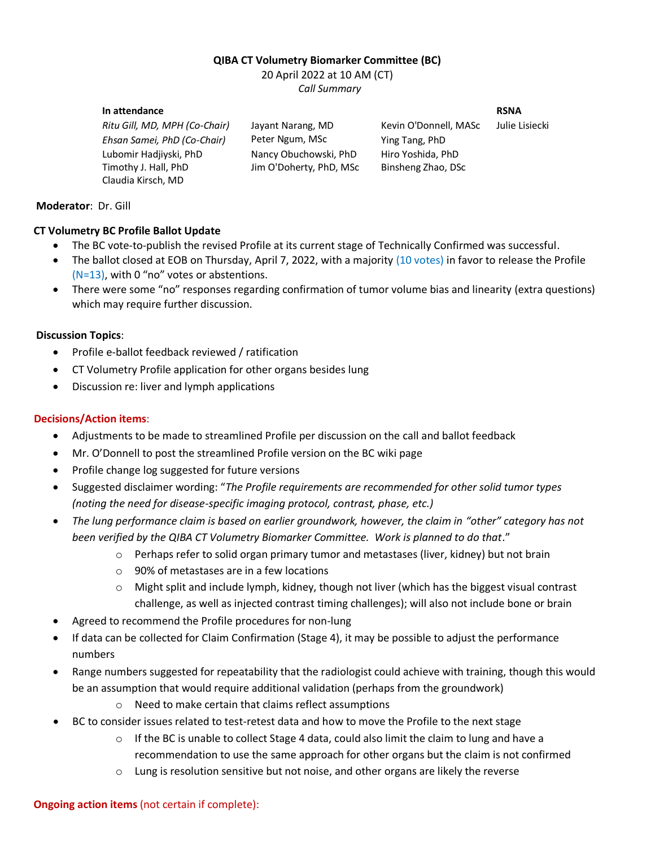# **QIBA CT Volumetry Biomarker Committee (BC)**

20 April 2022 at 10 AM (CT) *Call Summary* 

#### **In attendance RSNA**

*Ritu Gill, MD, MPH (Co-Chair)* Jayant Narang, MD Kevin O'Donnell, MASc Julie Lisiecki *Ehsan Samei, PhD (Co-Chair)* Peter Ngum, MSc Ying Tang, PhD Lubomir Hadjiyski, PhD Nancy Obuchowski, PhD Hiro Yoshida, PhD Timothy J. Hall, PhD Jim O'Doherty, PhD, MSc Binsheng Zhao, DSc Claudia Kirsch, MD

### **Moderator**:Dr. Gill

### **CT Volumetry BC Profile Ballot Update**

- The BC vote-to-publish the revised Profile at its current stage of Technically Confirmed was successful.
- The ballot closed at EOB on Thursday, April 7, 2022, with a majority (10 votes) in favor to release the Profile (N=13), with 0 "no" votes or abstentions.
- There were some "no" responses regarding confirmation of tumor volume bias and linearity (extra questions) which may require further discussion.

### **Discussion Topics**:

- Profile e-ballot feedback reviewed / ratification
- CT Volumetry Profile application for other organs besides lung
- Discussion re: liver and lymph applications

## **Decisions/Action items**:

- Adjustments to be made to streamlined Profile per discussion on the call and ballot feedback
- Mr. O'Donnell to post the streamlined Profile version on the BC wiki page
- Profile change log suggested for future versions
- Suggested disclaimer wording: "*The Profile requirements are recommended for other solid tumor types (noting the need for disease-specific imaging protocol, contrast, phase, etc.)*
- The lung performance claim is based on earlier groundwork, however, the claim in "other" category has not *been verified by the QIBA CT Volumetry Biomarker Committee. Work is planned to do that*."
	- $\circ$  Perhaps refer to solid organ primary tumor and metastases (liver, kidney) but not brain
	- o 90% of metastases are in a few locations
	- $\circ$  Might split and include lymph, kidney, though not liver (which has the biggest visual contrast challenge, as well as injected contrast timing challenges); will also not include bone or brain
- Agreed to recommend the Profile procedures for non-lung
- If data can be collected for Claim Confirmation (Stage 4), it may be possible to adjust the performance numbers
- Range numbers suggested for repeatability that the radiologist could achieve with training, though this would be an assumption that would require additional validation (perhaps from the groundwork)
	- o Need to make certain that claims reflect assumptions
- BC to consider issues related to test-retest data and how to move the Profile to the next stage
	- $\circ$  If the BC is unable to collect Stage 4 data, could also limit the claim to lung and have a recommendation to use the same approach for other organs but the claim is not confirmed
	- $\circ$  Lung is resolution sensitive but not noise, and other organs are likely the reverse